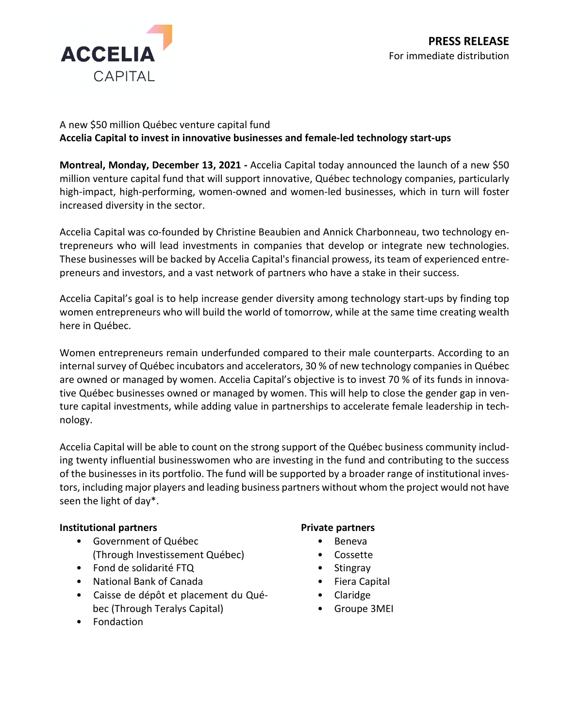

# A new \$50 million Québec venture capital fund **Accelia Capital to invest in innovative businesses and female-led technology start-ups**

**Montreal, Monday, December 13, 2021 -** Accelia Capital today announced the launch of a new \$50 million venture capital fund that will support innovative, Québec technology companies, particularly high-impact, high-performing, women-owned and women-led businesses, which in turn will foster increased diversity in the sector.

Accelia Capital was co-founded by Christine Beaubien and Annick Charbonneau, two technology entrepreneurs who will lead investments in companies that develop or integrate new technologies. These businesses will be backed by Accelia Capital's financial prowess, its team of experienced entrepreneurs and investors, and a vast network of partners who have a stake in their success.

Accelia Capital's goal is to help increase gender diversity among technology start-ups by finding top women entrepreneurs who will build the world of tomorrow, while at the same time creating wealth here in Québec.

Women entrepreneurs remain underfunded compared to their male counterparts. According to an internal survey of Québec incubators and accelerators, 30 % of new technology companies in Québec are owned or managed by women. Accelia Capital's objective is to invest 70 % of its funds in innovative Québec businesses owned or managed by women. This will help to close the gender gap in venture capital investments, while adding value in partnerships to accelerate female leadership in technology.

Accelia Capital will be able to count on the strong support of the Québec business community including twenty influential businesswomen who are investing in the fund and contributing to the success of the businesses in its portfolio. The fund will be supported by a broader range of institutional investors, including major players and leading business partners without whom the project would not have seen the light of day\*.

### **Institutional partners**

- Government of Québec (Through Investissement Québec)
- Fond de solidarité FTQ
- National Bank of Canada
- Caisse de dépôt et placement du Québec (Through Teralys Capital)
- Fondaction

### **Private partners**

- Beneva
- Cossette
- **Stingray**
- Fiera Capital
- Claridge
- Groupe 3MEI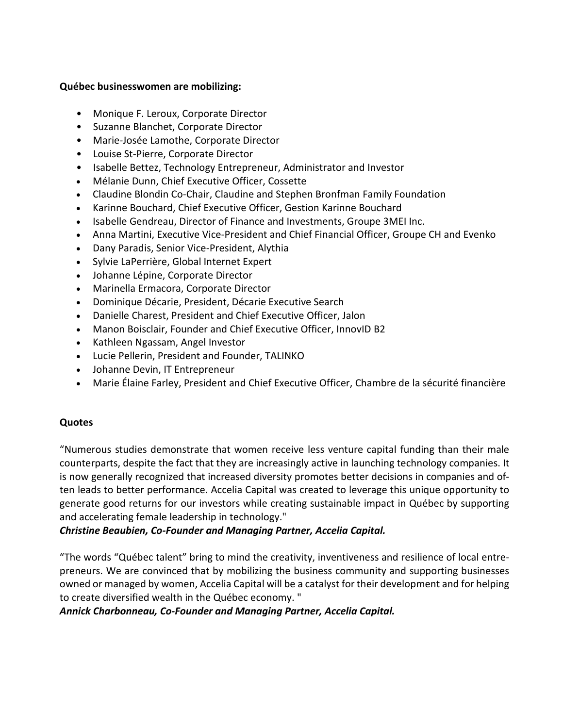#### **Québec businesswomen are mobilizing:**

- Monique F. Leroux, Corporate Director
- Suzanne Blanchet, Corporate Director
- Marie-Josée Lamothe, Corporate Director
- Louise St-Pierre, Corporate Director
- Isabelle Bettez, Technology Entrepreneur, Administrator and Investor
- Mélanie Dunn, Chief Executive Officer, Cossette
- Claudine Blondin Co-Chair, Claudine and Stephen Bronfman Family Foundation
- Karinne Bouchard, Chief Executive Officer, Gestion Karinne Bouchard
- Isabelle Gendreau, Director of Finance and Investments, Groupe 3MEI Inc.
- Anna Martini, Executive Vice-President and Chief Financial Officer, Groupe CH and Evenko
- Dany Paradis, Senior Vice-President, Alythia
- Sylvie LaPerrière, Global Internet Expert
- Johanne Lépine, Corporate Director
- Marinella Ermacora, Corporate Director
- Dominique Décarie, President, Décarie Executive Search
- Danielle Charest, President and Chief Executive Officer, Jalon
- Manon Boisclair, Founder and Chief Executive Officer, InnovID B2
- Kathleen Ngassam, Angel Investor
- Lucie Pellerin, President and Founder, TALINKO
- Johanne Devin, IT Entrepreneur
- Marie Élaine Farley, President and Chief Executive Officer, Chambre de la sécurité financière

### **Quotes**

"Numerous studies demonstrate that women receive less venture capital funding than their male counterparts, despite the fact that they are increasingly active in launching technology companies. It is now generally recognized that increased diversity promotes better decisions in companies and often leads to better performance. Accelia Capital was created to leverage this unique opportunity to generate good returns for our investors while creating sustainable impact in Québec by supporting and accelerating female leadership in technology."

### *Christine Beaubien, Co-Founder and Managing Partner, Accelia Capital.*

"The words "Québec talent" bring to mind the creativity, inventiveness and resilience of local entrepreneurs. We are convinced that by mobilizing the business community and supporting businesses owned or managed by women, Accelia Capital will be a catalyst for their development and for helping to create diversified wealth in the Québec economy. "

### *Annick Charbonneau, Co-Founder and Managing Partner, Accelia Capital.*